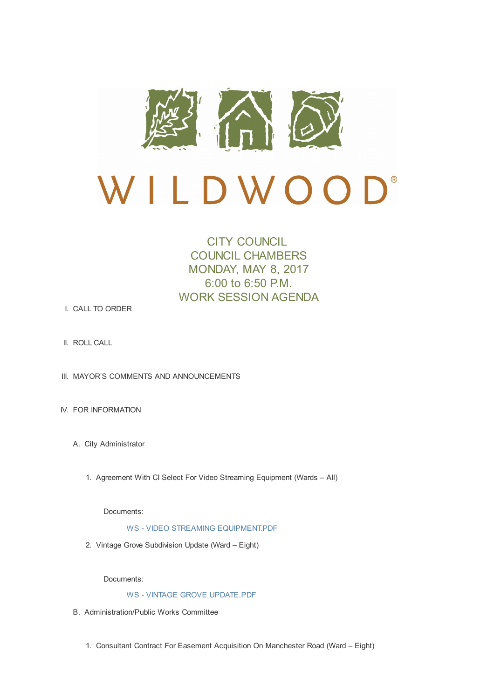

# $\bigcap$ LDWOO W I

# CITY COUNCIL COUNCIL CHAMBERS MONDAY, MAY 8, 2017 6:00 to 6:50 P.M. WORK SESSION AGENDA

- I. CALL TO ORDER
- II. ROLL CALL
- III. MAYOR'S COMMENTS AND ANNOUNCEMENTS
- IV. FOR INFORMATION
	- A. City Administrator
		- 1. Agreement With CI Select For Video Streaming Equipment (Wards All)

Documents:

### WS - VIDEO STREAMING EQUIPMENT.PDF

2. Vintage Grove Subdivision Update (Ward – Eight)

Documents:

## WS - VINTAGE GROVE UPDATE.PDF

- B. Administration/Public Works Committee
	- 1. Consultant Contract For Easement Acquisition On Manchester Road (Ward Eight)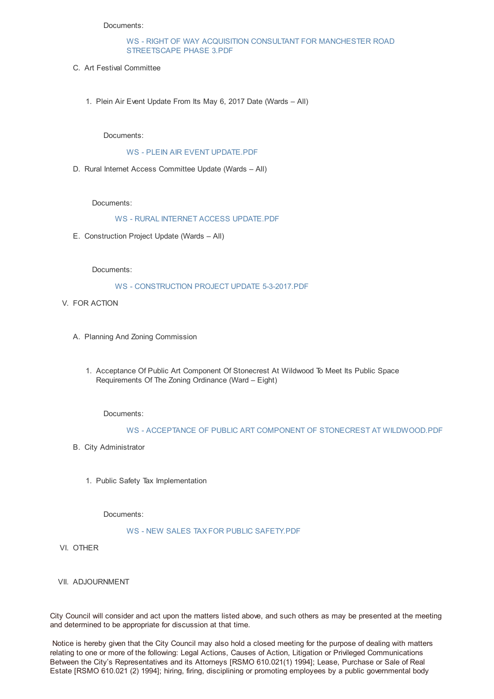Documents:

### WS - RIGHT OF WAY ACQUISITION CONSULTANT FOR MANCHESTER ROAD STREETSCAPE PHASE 3.PDF

- C. Art Festival Committee
	- 1. Plein Air Event Update From Its May 6, 2017 Date (Wards All)

Documents:

#### WS - PLEIN AIR EVENT UPDATE.PDF

D. Rural Internet Access Committee Update (Wards – All)

Documents:

#### WS - RURAL INTERNET ACCESS UPDATE.PDF

E. Construction Project Update (Wards – All)

Documents:

#### WS - CONSTRUCTION PROJECT UPDATE 5-3-2017.PDF

#### V. FOR ACTION

- A. Planning And Zoning Commission
	- 1. Acceptance Of Public Art Component Of Stonecrest At Wildwood To Meet Its Public Space Requirements Of The Zoning Ordinance (Ward – Eight)

Documents:

#### WS - ACCEPTANCE OF PUBLIC ART COMPONENT OF STONECREST AT WILDWOOD.PDF

- B. City Administrator
	- 1. Public Safety Tax Implementation

Documents:

#### WS - NEW SALES TAX FOR PUBLIC SAFETY.PDF

VI. OTHER

#### VII. ADJOURNMENT

City Council will consider and act upon the matters listed above, and such others as may be presented at the meeting and determined to be appropriate for discussion at that time.

Notice is hereby given that the City Council may also hold a closed meeting for the purpose of dealing with matters relating to one or more of the following: Legal Actions, Causes of Action, Litigation or Privileged Communications Between the City's Representatives and its Attorneys [RSMO 610.021(1) 1994]; Lease, Purchase or Sale of Real Estate [RSMO 610.021 (2) 1994]; hiring, firing, disciplining or promoting employees by a public governmental body